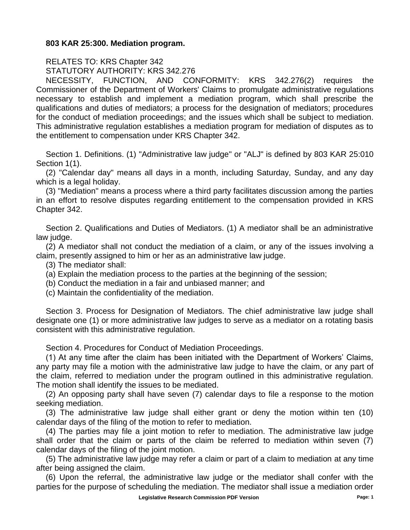## **803 KAR 25:300. Mediation program.**

RELATES TO: KRS Chapter 342 STATUTORY AUTHORITY: KRS 342.276

NECESSITY, FUNCTION, AND CONFORMITY: KRS 342.276(2) requires the Commissioner of the Department of Workers' Claims to promulgate administrative regulations necessary to establish and implement a mediation program, which shall prescribe the qualifications and duties of mediators; a process for the designation of mediators; procedures for the conduct of mediation proceedings; and the issues which shall be subject to mediation. This administrative regulation establishes a mediation program for mediation of disputes as to the entitlement to compensation under KRS Chapter 342.

Section 1. Definitions. (1) "Administrative law judge" or "ALJ" is defined by 803 KAR 25:010 Section 1(1).

(2) "Calendar day" means all days in a month, including Saturday, Sunday, and any day which is a legal holiday.

(3) "Mediation" means a process where a third party facilitates discussion among the parties in an effort to resolve disputes regarding entitlement to the compensation provided in KRS Chapter 342.

Section 2. Qualifications and Duties of Mediators. (1) A mediator shall be an administrative law judge.

(2) A mediator shall not conduct the mediation of a claim, or any of the issues involving a claim, presently assigned to him or her as an administrative law judge.

(3) The mediator shall:

(a) Explain the mediation process to the parties at the beginning of the session;

(b) Conduct the mediation in a fair and unbiased manner; and

(c) Maintain the confidentiality of the mediation.

Section 3. Process for Designation of Mediators. The chief administrative law judge shall designate one (1) or more administrative law judges to serve as a mediator on a rotating basis consistent with this administrative regulation.

Section 4. Procedures for Conduct of Mediation Proceedings.

(1) At any time after the claim has been initiated with the Department of Workers' Claims, any party may file a motion with the administrative law judge to have the claim, or any part of the claim, referred to mediation under the program outlined in this administrative regulation. The motion shall identify the issues to be mediated.

(2) An opposing party shall have seven (7) calendar days to file a response to the motion seeking mediation.

(3) The administrative law judge shall either grant or deny the motion within ten (10) calendar days of the filing of the motion to refer to mediation.

(4) The parties may file a joint motion to refer to mediation. The administrative law judge shall order that the claim or parts of the claim be referred to mediation within seven (7) calendar days of the filing of the joint motion.

(5) The administrative law judge may refer a claim or part of a claim to mediation at any time after being assigned the claim.

(6) Upon the referral, the administrative law judge or the mediator shall confer with the parties for the purpose of scheduling the mediation. The mediator shall issue a mediation order